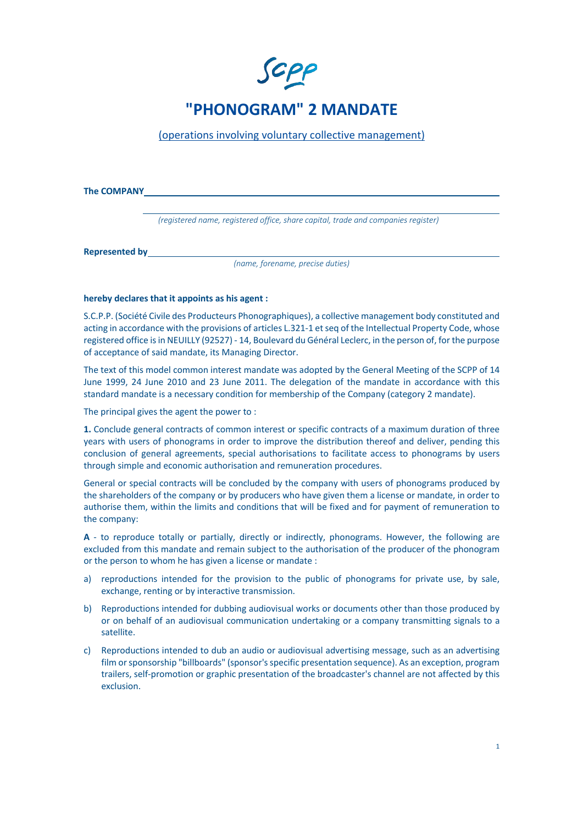

(operations involving voluntary collective management)

**The COMPANY**

 *(registered name, registered office, share capital, trade and companies register)*

**Represented by**

*(name, forename, precise duties)* 

## **hereby declares that it appoints as his agent :**

S.C.P.P. (Société Civile des Producteurs Phonographiques), a collective management body constituted and acting in accordance with the provisions of articles L.321-1 et seq of the Intellectual Property Code, whose registered office is in NEUILLY (92527) - 14, Boulevard du Général Leclerc, in the person of, for the purpose of acceptance of said mandate, its Managing Director.

The text of this model common interest mandate was adopted by the General Meeting of the SCPP of 14 June 1999, 24 June 2010 and 23 June 2011. The delegation of the mandate in accordance with this standard mandate is a necessary condition for membership of the Company (category 2 mandate).

The principal gives the agent the power to :

**1.** Conclude general contracts of common interest or specific contracts of a maximum duration of three years with users of phonograms in order to improve the distribution thereof and deliver, pending this conclusion of general agreements, special authorisations to facilitate access to phonograms by users through simple and economic authorisation and remuneration procedures.

General or special contracts will be concluded by the company with users of phonograms produced by the shareholders of the company or by producers who have given them a license or mandate, in order to authorise them, within the limits and conditions that will be fixed and for payment of remuneration to the company:

**A** - to reproduce totally or partially, directly or indirectly, phonograms. However, the following are excluded from this mandate and remain subject to the authorisation of the producer of the phonogram or the person to whom he has given a license or mandate :

- a) reproductions intended for the provision to the public of phonograms for private use, by sale, exchange, renting or by interactive transmission.
- b) Reproductions intended for dubbing audiovisual works or documents other than those produced by or on behalf of an audiovisual communication undertaking or a company transmitting signals to a satellite.
- c) Reproductions intended to dub an audio or audiovisual advertising message, such as an advertising film or sponsorship "billboards" (sponsor's specific presentation sequence). As an exception, program trailers, self-promotion or graphic presentation of the broadcaster's channel are not affected by this exclusion.